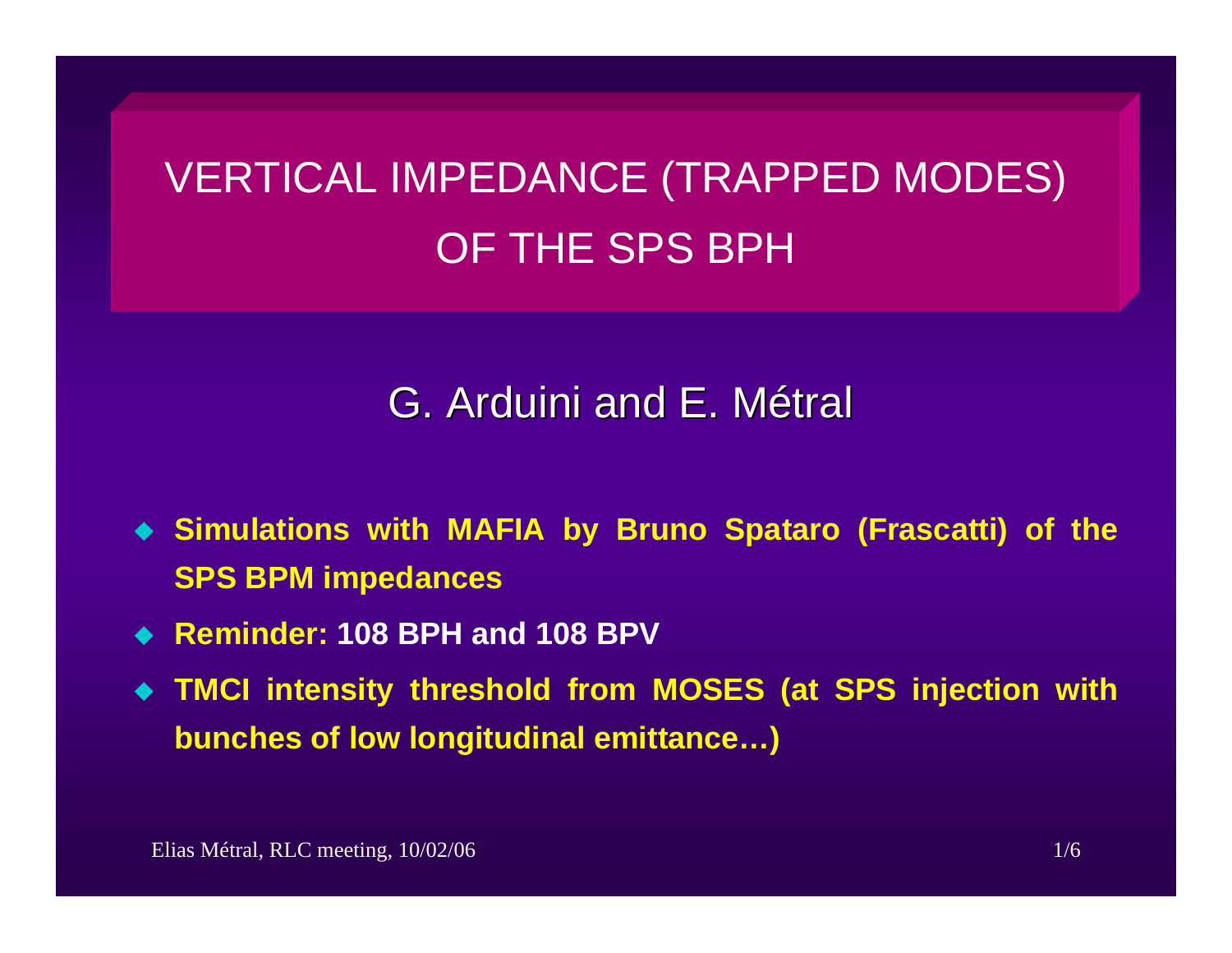# VERTICAL IMPEDANCE (TRAPPED MODES) OF THE SPS BPH

## G. Arduini and E. Métral

- **Simulations with MAFIA by Bruno Spataro (Frascatti) of the SPS BPM impedances**
- **Reminder: 108 BPH and 108 BPV**
- **TMCI intensity threshold from MOSES (at SPS injection with bunches of low longitudinal emittance…)**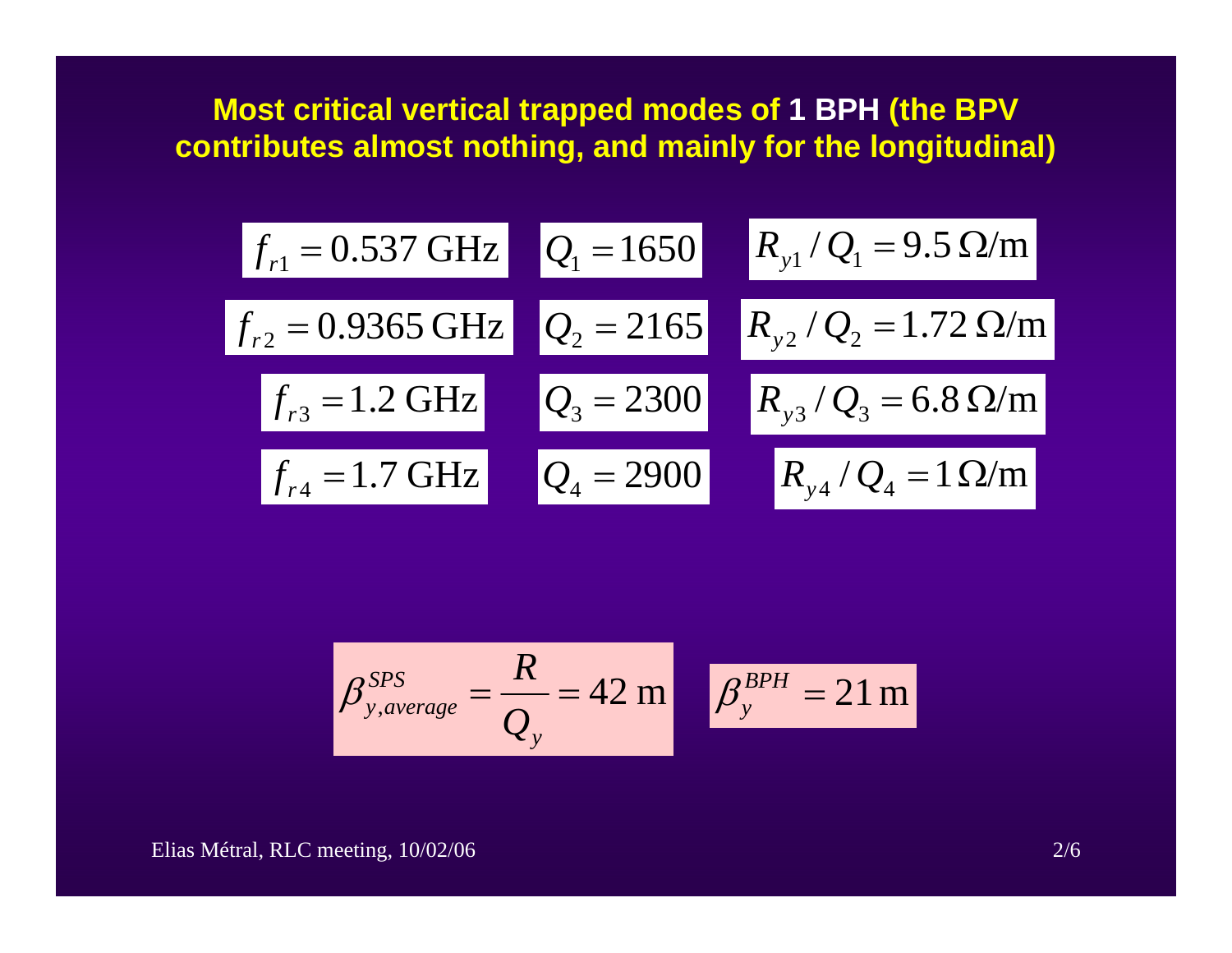#### **Most critical vertical trapped modes of 1 BPH (the BPV contributes almost nothing, and mainly for the longitudinal)**

$$
f_{r1} = 0.537 \text{ GHz}
$$
  $Q_1 = 1650$   $R_{y1}/Q_1 = 9.5 \Omega/m$   
\n $f_{r2} = 0.9365 \text{ GHz}$   $Q_2 = 2165$   $R_{y2}/Q_2 = 1.72 \Omega/m$   
\n $f_{r3} = 1.2 \text{ GHz}$   $Q_3 = 2300$   $R_{y3}/Q_3 = 6.8 \Omega/m$   
\n $f_{r4} = 1.7 \text{ GHz}$   $Q_4 = 2900$   $R_{y4}/Q_4 = 1 \Omega/m$ 

$$
\beta_{y,average}^{SPS} = \frac{R}{Q_y} = 42 \text{ m} \qquad \beta_y^{BPH} = 21 \text{ m}
$$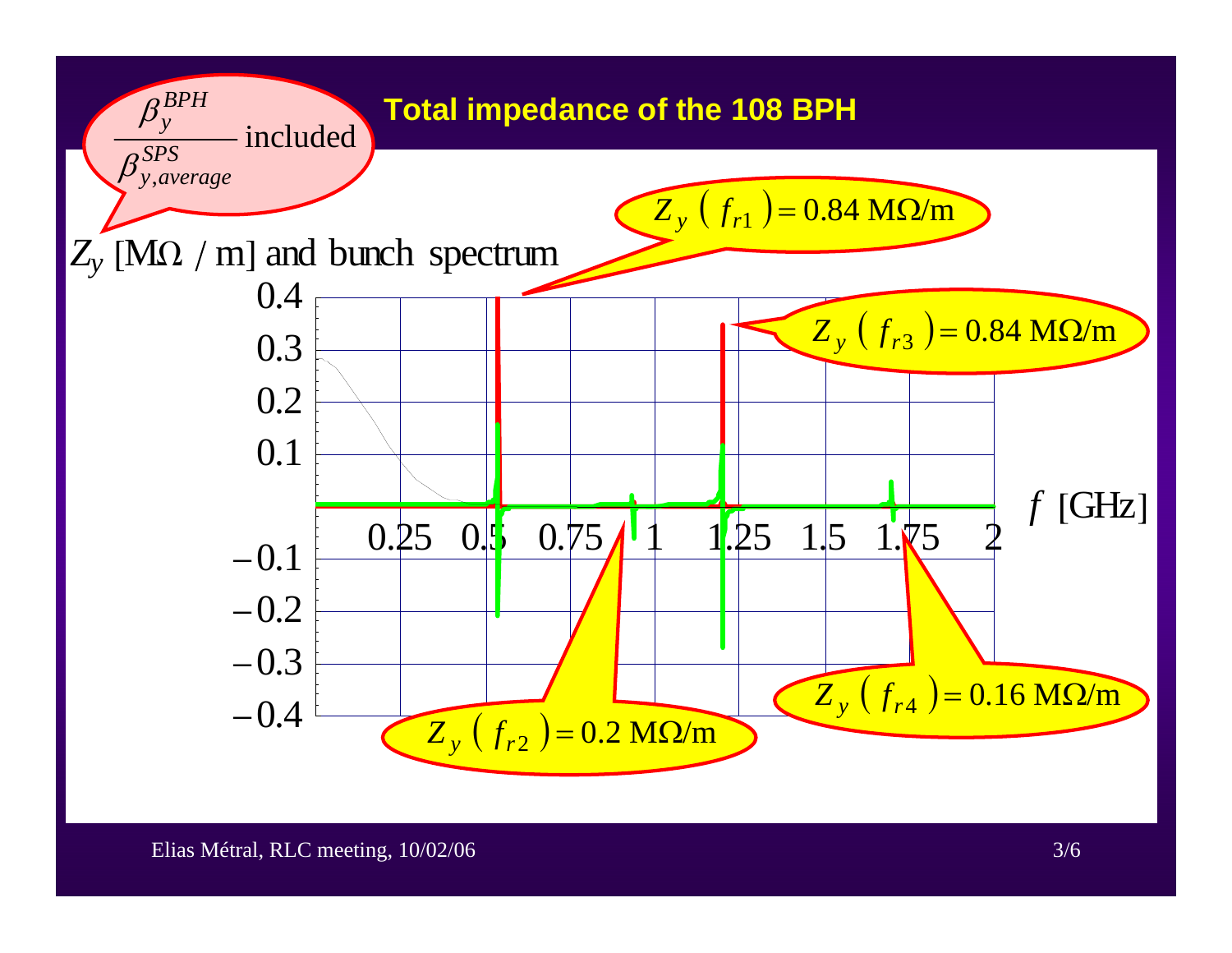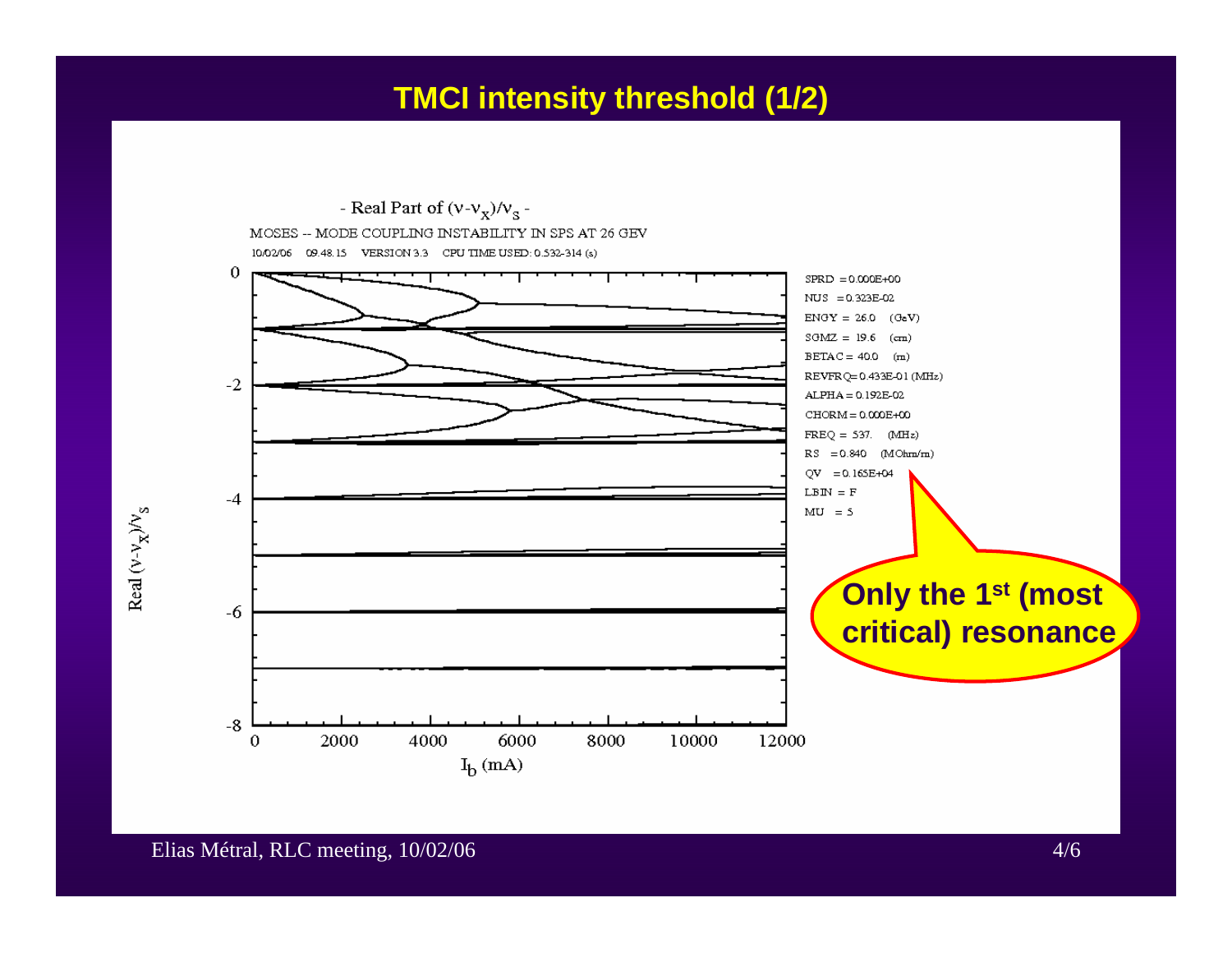#### **TMCI intensity threshold (1/2)**

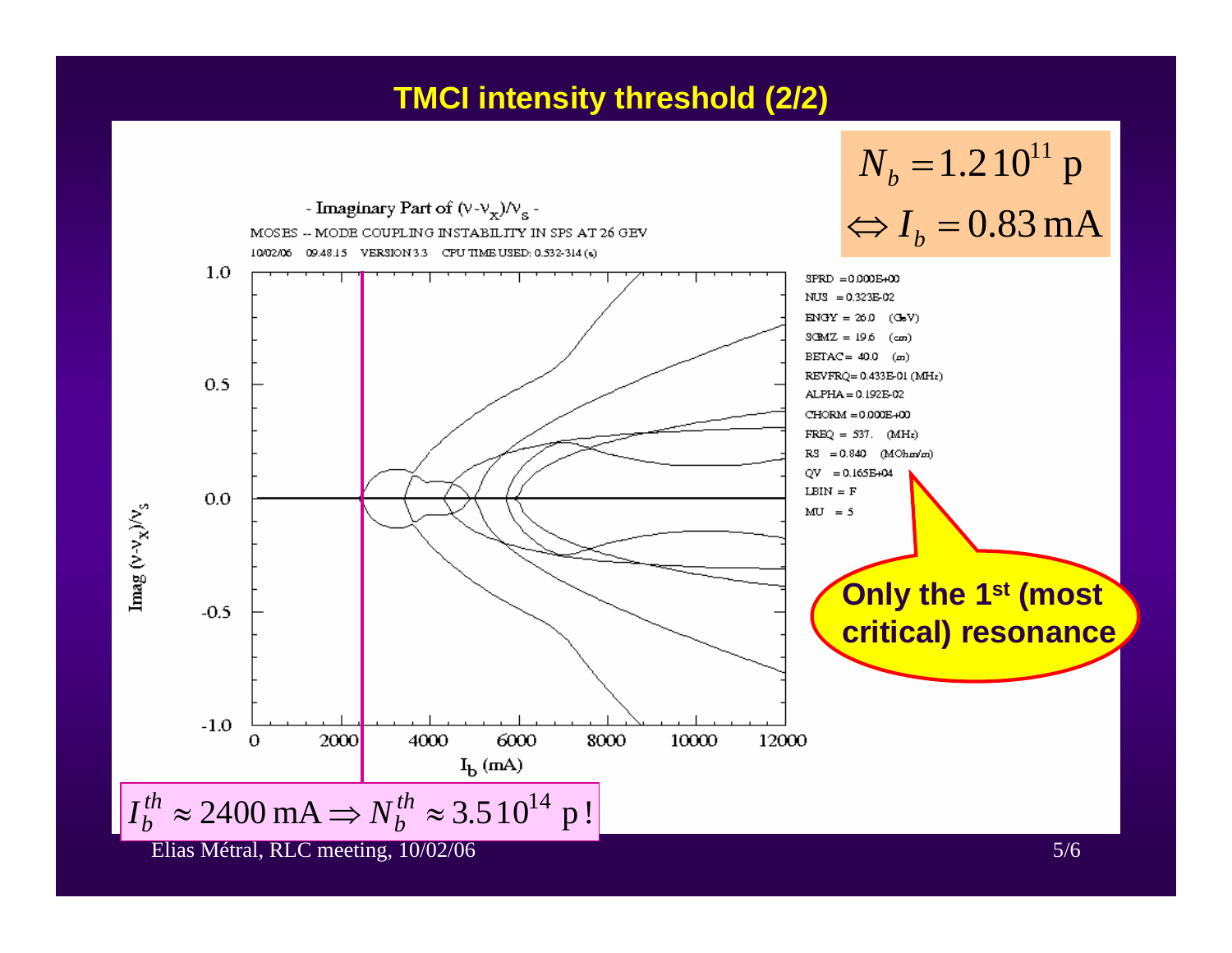#### **TMCI intensity threshold (2/2)**